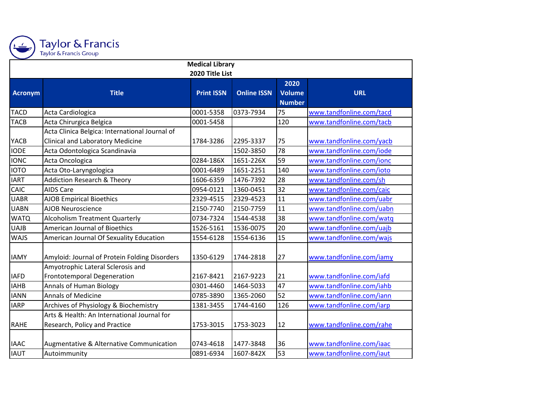

## Taylor & Francis<br>Taylor & Francis Group

| <b>Medical Library</b> |                                                |                   |                    |               |                          |  |
|------------------------|------------------------------------------------|-------------------|--------------------|---------------|--------------------------|--|
| 2020 Title List        |                                                |                   |                    |               |                          |  |
|                        |                                                |                   |                    | 2020          |                          |  |
| <b>Acronym</b>         | <b>Title</b>                                   | <b>Print ISSN</b> | <b>Online ISSN</b> | <b>Volume</b> | <b>URL</b>               |  |
|                        |                                                |                   |                    | <b>Number</b> |                          |  |
| <b>TACD</b>            | Acta Cardiologica                              | 0001-5358         | 0373-7934          | 75            | www.tandfonline.com/tacd |  |
| <b>TACB</b>            | Acta Chirurgica Belgica                        | 0001-5458         |                    | 120           | www.tandfonline.com/tacb |  |
|                        | Acta Clinica Belgica: International Journal of |                   |                    |               |                          |  |
| <b>YACB</b>            | <b>Clinical and Laboratory Medicine</b>        | 1784-3286         | 2295-3337          | 75            | www.tandfonline.com/yacb |  |
| <b>IODE</b>            | Acta Odontologica Scandinavia                  |                   | 1502-3850          | 78            | www.tandfonline.com/iode |  |
| <b>IONC</b>            | Acta Oncologica                                | 0284-186X         | 1651-226X          | 59            | www.tandfonline.com/ionc |  |
| <b>IOTO</b>            | Acta Oto-Laryngologica                         | 0001-6489         | 1651-2251          | 140           | www.tandfonline.com/ioto |  |
| <b>IART</b>            | <b>Addiction Research &amp; Theory</b>         | 1606-6359         | 1476-7392          | 28            | www.tandfonline.com/sh   |  |
| <b>CAIC</b>            | <b>AIDS Care</b>                               | 0954-0121         | 1360-0451          | 32            | www.tandfonline.com/caic |  |
| <b>UABR</b>            | <b>AJOB Empirical Bioethics</b>                | 2329-4515         | 2329-4523          | 11            | www.tandfonline.com/uabr |  |
| <b>UABN</b>            | <b>AJOB Neuroscience</b>                       | 2150-7740         | 2150-7759          | 11            | www.tandfonline.com/uabn |  |
| <b>WATQ</b>            | <b>Alcoholism Treatment Quarterly</b>          | 0734-7324         | 1544-4538          | 38            | www.tandfonline.com/watq |  |
| <b>UAJB</b>            | <b>American Journal of Bioethics</b>           | 1526-5161         | 1536-0075          | 20            | www.tandfonline.com/uajb |  |
| <b>WAJS</b>            | American Journal Of Sexuality Education        | 1554-6128         | 1554-6136          | 15            | www.tandfonline.com/wajs |  |
| <b>IAMY</b>            | Amyloid: Journal of Protein Folding Disorders  | 1350-6129         | 1744-2818          | 27            | www.tandfonline.com/iamy |  |
|                        | Amyotrophic Lateral Sclerosis and              |                   |                    |               |                          |  |
| <b>IAFD</b>            | <b>Frontotemporal Degeneration</b>             | 2167-8421         | 2167-9223          | 21            | www.tandfonline.com/iafd |  |
| <b>IAHB</b>            | <b>Annals of Human Biology</b>                 | 0301-4460         | 1464-5033          | 47            | www.tandfonline.com/iahb |  |
| <b>IANN</b>            | <b>Annals of Medicine</b>                      | 0785-3890         | 1365-2060          | 52            | www.tandfonline.com/iann |  |
| <b>IARP</b>            | Archives of Physiology & Biochemistry          | 1381-3455         | 1744-4160          | 126           | www.tandfonline.com/iarp |  |
|                        | Arts & Health: An International Journal for    |                   |                    |               |                          |  |
| <b>RAHE</b>            | Research, Policy and Practice                  | 1753-3015         | 1753-3023          | 12            | www.tandfonline.com/rahe |  |
|                        |                                                |                   |                    |               |                          |  |
| <b>IAAC</b>            | Augmentative & Alternative Communication       | 0743-4618         | 1477-3848          | 36            | www.tandfonline.com/iaac |  |
| <b>IAUT</b>            | Autoimmunity                                   | 0891-6934         | 1607-842X          | 53            | www.tandfonline.com/iaut |  |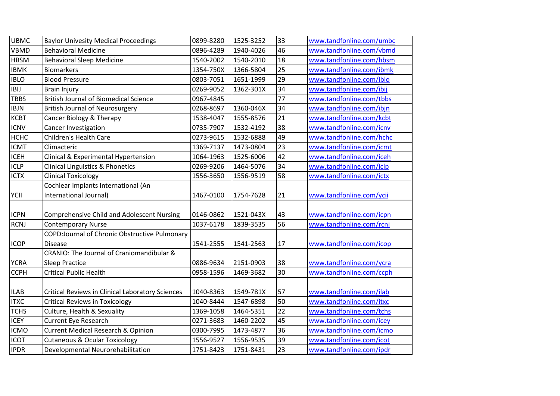| <b>UBMC</b> | <b>Baylor Univesity Medical Proceedings</b>      | 0899-8280 | 1525-3252 | 33              | www.tandfonline.com/umbc |
|-------------|--------------------------------------------------|-----------|-----------|-----------------|--------------------------|
| <b>VBMD</b> | <b>Behavioral Medicine</b>                       | 0896-4289 | 1940-4026 | 46              | www.tandfonline.com/vbmd |
| <b>HBSM</b> | <b>Behavioral Sleep Medicine</b>                 | 1540-2002 | 1540-2010 | 18              | www.tandfonline.com/hbsm |
| <b>IBMK</b> | <b>Biomarkers</b>                                | 1354-750X | 1366-5804 | $\overline{25}$ | www.tandfonline.com/ibmk |
| <b>IBLO</b> | <b>Blood Pressure</b>                            | 0803-7051 | 1651-1999 | 29              | www.tandfonline.com/iblo |
| <b>IBIJ</b> | <b>Brain Injury</b>                              | 0269-9052 | 1362-301X | 34              | www.tandfonline.com/ibij |
| <b>TBBS</b> | <b>British Journal of Biomedical Science</b>     | 0967-4845 |           | 77              | www.tandfonline.com/tbbs |
| <b>IBJN</b> | <b>British Journal of Neurosurgery</b>           | 0268-8697 | 1360-046X | 34              | www.tandfonline.com/ibjn |
| <b>KCBT</b> | Cancer Biology & Therapy                         | 1538-4047 | 1555-8576 | 21              | www.tandfonline.com/kcbt |
| <b>ICNV</b> | Cancer Investigation                             | 0735-7907 | 1532-4192 | 38              | www.tandfonline.com/icnv |
| <b>НСНС</b> | Children's Health Care                           | 0273-9615 | 1532-6888 | 49              | www.tandfonline.com/hchc |
| <b>ICMT</b> | Climacteric                                      | 1369-7137 | 1473-0804 | 23              | www.tandfonline.com/icmt |
| <b>ICEH</b> | Clinical & Experimental Hypertension             | 1064-1963 | 1525-6006 | 42              | www.tandfonline.com/iceh |
| <b>ICLP</b> | <b>Clinical Linguistics &amp; Phonetics</b>      | 0269-9206 | 1464-5076 | 34              | www.tandfonline.com/iclp |
| <b>ICTX</b> | <b>Clinical Toxicology</b>                       | 1556-3650 | 1556-9519 | 58              | www.tandfonline.com/ictx |
|             | Cochlear Implants International (An              |           |           |                 |                          |
| YCII        | International Journal)                           | 1467-0100 | 1754-7628 | 21              | www.tandfonline.com/ycii |
|             |                                                  |           |           |                 |                          |
| <b>ICPN</b> | Comprehensive Child and Adolescent Nursing       | 0146-0862 | 1521-043X | 43              | www.tandfonline.com/icpn |
| <b>RCNJ</b> | <b>Contemporary Nurse</b>                        | 1037-6178 | 1839-3535 | 56              | www.tandfonline.com/rcnj |
|             | COPD: Journal of Chronic Obstructive Pulmonary   |           |           |                 |                          |
| <b>ICOP</b> | <b>Disease</b>                                   | 1541-2555 | 1541-2563 | 17              | www.tandfonline.com/icop |
|             | CRANIO: The Journal of Craniomandibular &        |           |           |                 |                          |
| <b>YCRA</b> | <b>Sleep Practice</b>                            | 0886-9634 | 2151-0903 | 38              | www.tandfonline.com/ycra |
| <b>CCPH</b> | <b>Critical Public Health</b>                    | 0958-1596 | 1469-3682 | 30              | www.tandfonline.com/ccph |
|             |                                                  |           |           |                 |                          |
| <b>ILAB</b> | Critical Reviews in Clinical Laboratory Sciences | 1040-8363 | 1549-781X | 57              | www.tandfonline.com/ilab |
| <b>ITXC</b> | <b>Critical Reviews in Toxicology</b>            | 1040-8444 | 1547-6898 | 50              | www.tandfonline.com/itxc |
| <b>TCHS</b> | Culture, Health & Sexuality                      | 1369-1058 | 1464-5351 | 22              | www.tandfonline.com/tchs |
| <b>ICEY</b> | <b>Current Eye Research</b>                      | 0271-3683 | 1460-2202 | 45              | www.tandfonline.com/icey |
| <b>ICMO</b> | <b>Current Medical Research &amp; Opinion</b>    | 0300-7995 | 1473-4877 | 36              | www.tandfonline.com/icmo |
| <b>ICOT</b> | <b>Cutaneous &amp; Ocular Toxicology</b>         | 1556-9527 | 1556-9535 | 39              | www.tandfonline.com/icot |
| <b>IPDR</b> | Developmental Neurorehabilitation                | 1751-8423 | 1751-8431 | 23              | www.tandfonline.com/ipdr |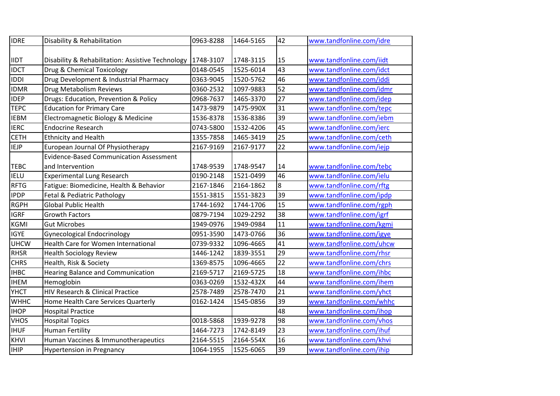| <b>IDRE</b> | Disability & Rehabilitation                       | 0963-8288 | 1464-5165 | 42              | www.tandfonline.com/idre |
|-------------|---------------------------------------------------|-----------|-----------|-----------------|--------------------------|
|             |                                                   |           |           |                 |                          |
| <b>IIDT</b> | Disability & Rehabilitation: Assistive Technology | 1748-3107 | 1748-3115 | 15              | www.tandfonline.com/iidt |
| <b>IDCT</b> | Drug & Chemical Toxicology                        | 0148-0545 | 1525-6014 | 43              | www.tandfonline.com/idct |
| <b>IDDI</b> | Drug Development & Industrial Pharmacy            | 0363-9045 | 1520-5762 | 46              | www.tandfonline.com/iddi |
| <b>IDMR</b> | Drug Metabolism Reviews                           | 0360-2532 | 1097-9883 | 52              | www.tandfonline.com/idmr |
| <b>IDEP</b> | Drugs: Education, Prevention & Policy             | 0968-7637 | 1465-3370 | $\overline{27}$ | www.tandfonline.com/idep |
| <b>TEPC</b> | <b>Education for Primary Care</b>                 | 1473-9879 | 1475-990X | 31              | www.tandfonline.com/tepc |
| <b>IEBM</b> | Electromagnetic Biology & Medicine                | 1536-8378 | 1536-8386 | 39              | www.tandfonline.com/iebm |
| <b>IERC</b> | <b>Endocrine Research</b>                         | 0743-5800 | 1532-4206 | 45              | www.tandfonline.com/ierc |
| <b>CETH</b> | <b>Ethnicity and Health</b>                       | 1355-7858 | 1465-3419 | 25              | www.tandfonline.com/ceth |
| <b>IEJP</b> | European Journal Of Physiotherapy                 | 2167-9169 | 2167-9177 | 22              | www.tandfonline.com/iejp |
|             | <b>Evidence-Based Communication Assessment</b>    |           |           |                 |                          |
| <b>TEBC</b> | and Intervention                                  | 1748-9539 | 1748-9547 | 14              | www.tandfonline.com/tebc |
| <b>IELU</b> | <b>Experimental Lung Research</b>                 | 0190-2148 | 1521-0499 | 46              | www.tandfonline.com/ielu |
| <b>RFTG</b> | Fatigue: Biomedicine, Health & Behavior           | 2167-1846 | 2164-1862 | 8               | www.tandfonline.com/rftg |
| <b>IPDP</b> | Fetal & Pediatric Pathology                       | 1551-3815 | 1551-3823 | 39              | www.tandfonline.com/ipdp |
| <b>RGPH</b> | <b>Global Public Health</b>                       | 1744-1692 | 1744-1706 | 15              | www.tandfonline.com/rgph |
| <b>IGRF</b> | <b>Growth Factors</b>                             | 0879-7194 | 1029-2292 | 38              | www.tandfonline.com/igrf |
| KGMI        | <b>Gut Microbes</b>                               | 1949-0976 | 1949-0984 | 11              | www.tandfonline.com/kgmi |
| <b>IGYE</b> | <b>Gynecological Endocrinology</b>                | 0951-3590 | 1473-0766 | 36              | www.tandfonline.com/igye |
| <b>UHCW</b> | Health Care for Women International               | 0739-9332 | 1096-4665 | 41              | www.tandfonline.com/uhcw |
| <b>RHSR</b> | <b>Health Sociology Review</b>                    | 1446-1242 | 1839-3551 | 29              | www.tandfonline.com/rhsr |
| <b>CHRS</b> | Health, Risk & Society                            | 1369-8575 | 1096-4665 | 22              | www.tandfonline.com/chrs |
| <b>IHBC</b> | <b>Hearing Balance and Communication</b>          | 2169-5717 | 2169-5725 | 18              | www.tandfonline.com/ihbc |
| <b>IHEM</b> | Hemoglobin                                        | 0363-0269 | 1532-432X | 44              | www.tandfonline.com/ihem |
| <b>YHCT</b> | HIV Research & Clinical Practice                  | 2578-7489 | 2578-7470 | 21              | www.tandfonline.com/yhct |
| <b>WHHC</b> | Home Health Care Services Quarterly               | 0162-1424 | 1545-0856 | 39              | www.tandfonline.com/whhc |
| <b>IHOP</b> | <b>Hospital Practice</b>                          |           |           | 48              | www.tandfonline.com/ihop |
| <b>VHOS</b> | <b>Hospital Topics</b>                            | 0018-5868 | 1939-9278 | 98              | www.tandfonline.com/vhos |
| <b>IHUF</b> | <b>Human Fertility</b>                            | 1464-7273 | 1742-8149 | 23              | www.tandfonline.com/ihuf |
| <b>KHVI</b> | Human Vaccines & Immunotherapeutics               | 2164-5515 | 2164-554X | 16              | www.tandfonline.com/khvi |
| <b>IHIP</b> | <b>Hypertension in Pregnancy</b>                  | 1064-1955 | 1525-6065 | 39              | www.tandfonline.com/ihip |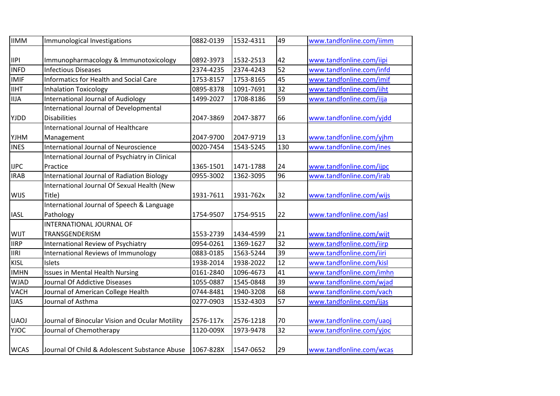| <b>IIMM</b>     | Immunological Investigations                      | 0882-0139 | 1532-4311 | 49              | www.tandfonline.com/iimm |
|-----------------|---------------------------------------------------|-----------|-----------|-----------------|--------------------------|
|                 |                                                   |           |           |                 |                          |
| $\mathsf{IIPI}$ | Immunopharmacology & Immunotoxicology             | 0892-3973 | 1532-2513 | 42              | www.tandfonline.com/iipi |
| <b>INFD</b>     | <b>Infectious Diseases</b>                        | 2374-4235 | 2374-4243 | $\overline{52}$ | www.tandfonline.com/infd |
| <b>IMIF</b>     | <b>Informatics for Health and Social Care</b>     | 1753-8157 | 1753-8165 | 45              | www.tandfonline.com/imif |
| <b>IIHT</b>     | <b>Inhalation Toxicology</b>                      | 0895-8378 | 1091-7691 | $\overline{32}$ | www.tandfonline.com/iiht |
| <b>IIJA</b>     | <b>International Journal of Audiology</b>         | 1499-2027 | 1708-8186 | 59              | www.tandfonline.com/iija |
|                 | <b>International Journal of Developmental</b>     |           |           |                 |                          |
| YJDD            | <b>Disabilities</b>                               | 2047-3869 | 2047-3877 | 66              | www.tandfonline.com/yjdd |
|                 | International Journal of Healthcare               |           |           |                 |                          |
| <b>YJHM</b>     | Management                                        | 2047-9700 | 2047-9719 | 13              | www.tandfonline.com/yjhm |
| <b>INES</b>     | <b>International Journal of Neuroscience</b>      | 0020-7454 | 1543-5245 | 130             | www.tandfonline.com/ines |
|                 | International Journal of Psychiatry in Clinical   |           |           |                 |                          |
| <b>IJPC</b>     | Practice                                          | 1365-1501 | 1471-1788 | 24              | www.tandfonline.com/ijpc |
| <b>IRAB</b>     | <b>International Journal of Radiation Biology</b> | 0955-3002 | 1362-3095 | 96              | www.tandfonline.com/irab |
|                 | International Journal Of Sexual Health (New       |           |           |                 |                          |
| <b>WIJS</b>     | Title)                                            | 1931-7611 | 1931-762x | 32              | www.tandfonline.com/wijs |
|                 | International Journal of Speech & Language        |           |           |                 |                          |
| <b>IASL</b>     | Pathology                                         | 1754-9507 | 1754-9515 | 22              | www.tandfonline.com/iasl |
|                 | INTERNATIONAL JOURNAL OF                          |           |           |                 |                          |
| <b>WIJT</b>     | TRANSGENDERISM                                    | 1553-2739 | 1434-4599 | 21              | www.tandfonline.com/wijt |
| <b>IIRP</b>     | <b>International Review of Psychiatry</b>         | 0954-0261 | 1369-1627 | 32              | www.tandfonline.com/iirp |
| <b>IIRI</b>     | <b>International Reviews of Immunology</b>        | 0883-0185 | 1563-5244 | 39              | www.tandfonline.com/iiri |
| <b>KISL</b>     | Islets                                            | 1938-2014 | 1938-2022 | 12              | www.tandfonline.com/kisl |
| <b>IMHN</b>     | <b>Issues in Mental Health Nursing</b>            | 0161-2840 | 1096-4673 | 41              | www.tandfonline.com/imhn |
| <b>WJAD</b>     | Journal Of Addictive Diseases                     | 1055-0887 | 1545-0848 | 39              | www.tandfonline.com/wjad |
| <b>VACH</b>     | Journal of American College Health                | 0744-8481 | 1940-3208 | 68              | www.tandfonline.com/vach |
| <b>IJAS</b>     | Journal of Asthma                                 | 0277-0903 | 1532-4303 | 57              | www.tandfonline.com/ijas |
|                 |                                                   |           |           |                 |                          |
| <b>UAOJ</b>     | Journal of Binocular Vision and Ocular Motility   | 2576-117x | 2576-1218 | 70              | www.tandfonline.com/uaoj |
| <b>YJOC</b>     | Journal of Chemotherapy                           | 1120-009X | 1973-9478 | 32              | www.tandfonline.com/yjoc |
|                 |                                                   |           |           |                 |                          |
| <b>WCAS</b>     | Journal Of Child & Adolescent Substance Abuse     | 1067-828X | 1547-0652 | 29              | www.tandfonline.com/wcas |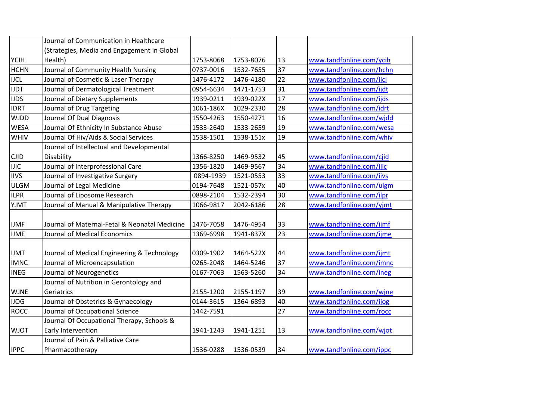|                   | Journal of Communication in Healthcare        |           |           |                 |                          |
|-------------------|-----------------------------------------------|-----------|-----------|-----------------|--------------------------|
|                   | (Strategies, Media and Engagement in Global   |           |           |                 |                          |
| <b>YCIH</b>       | Health)                                       | 1753-8068 | 1753-8076 | 13              | www.tandfonline.com/ycih |
| <b>HCHN</b>       | Journal of Community Health Nursing           | 0737-0016 | 1532-7655 | 37              | www.tandfonline.com/hchn |
| <b>IJCL</b>       | Journal of Cosmetic & Laser Therapy           | 1476-4172 | 1476-4180 | 22              | www.tandfonline.com/ijcl |
| <b>IJDT</b>       | Journal of Dermatological Treatment           | 0954-6634 | 1471-1753 | 31              | www.tandfonline.com/ijdt |
| <b>IJDS</b>       | Journal of Dietary Supplements                | 1939-0211 | 1939-022X | 17              | www.tandfonline.com/ijds |
| <b>IDRT</b>       | Journal of Drug Targeting                     | 1061-186X | 1029-2330 | 28              | www.tandfonline.com/idrt |
| <b>WJDD</b>       | Journal Of Dual Diagnosis                     | 1550-4263 | 1550-4271 | 16              | www.tandfonline.com/wjdd |
| <b>WESA</b>       | Journal Of Ethnicity In Substance Abuse       | 1533-2640 | 1533-2659 | 19              | www.tandfonline.com/wesa |
| WHIV              | Journal Of Hiv/Aids & Social Services         | 1538-1501 | 1538-151x | 19              | www.tandfonline.com/whiv |
|                   | Journal of Intellectual and Developmental     |           |           |                 |                          |
| <b>CJID</b>       | Disability                                    | 1366-8250 | 1469-9532 | 45              | www.tandfonline.com/cjid |
| $\overline{III}C$ | Journal of Interprofessional Care             | 1356-1820 | 1469-9567 | 34              | www.tandfonline.com/ijic |
| <b>IIVS</b>       | Journal of Investigative Surgery              | 0894-1939 | 1521-0553 | 33              | www.tandfonline.com/iivs |
| <b>ULGM</b>       | Journal of Legal Medicine                     | 0194-7648 | 1521-057x | 40              | www.tandfonline.com/ulgm |
| <b>ILPR</b>       | Journal of Liposome Research                  | 0898-2104 | 1532-2394 | 30              | www.tandfonline.com/ilpr |
| YJMT              | Journal of Manual & Manipulative Therapy      | 1066-9817 | 2042-6186 | 28              | www.tandfonline.com/yjmt |
|                   |                                               |           |           |                 |                          |
| <b>IJMF</b>       | Journal of Maternal-Fetal & Neonatal Medicine | 1476-7058 | 1476-4954 | 33              | www.tandfonline.com/ijmf |
| <b>IJME</b>       | Journal of Medical Economics                  | 1369-6998 | 1941-837X | $\overline{23}$ | www.tandfonline.com/ijme |
|                   |                                               |           |           |                 |                          |
| <b>IJMT</b>       | Journal of Medical Engineering & Technology   | 0309-1902 | 1464-522X | 44              | www.tandfonline.com/ijmt |
| <b>IMNC</b>       | Journal of Microencapsulation                 | 0265-2048 | 1464-5246 | 37              | www.tandfonline.com/imnc |
| <b>INEG</b>       | Journal of Neurogenetics                      | 0167-7063 | 1563-5260 | 34              | www.tandfonline.com/ineg |
|                   | Journal of Nutrition in Gerontology and       |           |           |                 |                          |
| <b>WJNE</b>       | Geriatrics                                    | 2155-1200 | 2155-1197 | 39              | www.tandfonline.com/wine |
| <b>IJOG</b>       | Journal of Obstetrics & Gynaecology           | 0144-3615 | 1364-6893 | 40              | www.tandfonline.com/ijog |
| <b>ROCC</b>       | Journal of Occupational Science               | 1442-7591 |           | 27              | www.tandfonline.com/rocc |
|                   | Journal Of Occupational Therapy, Schools &    |           |           |                 |                          |
| <b>WJOT</b>       | Early Intervention                            | 1941-1243 | 1941-1251 | 13              | www.tandfonline.com/wjot |
|                   | Journal of Pain & Palliative Care             |           |           |                 |                          |
| <b>IPPC</b>       | Pharmacotherapy                               | 1536-0288 | 1536-0539 | 34              | www.tandfonline.com/ippc |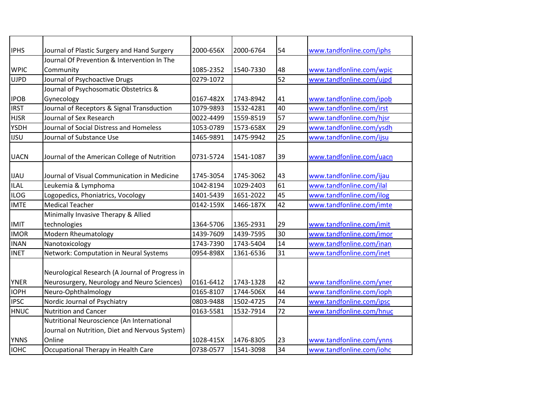| <b>IPHS</b> | Journal of Plastic Surgery and Hand Surgery     | 2000-656X | 2000-6764 | 54 | www.tandfonline.com/iphs |
|-------------|-------------------------------------------------|-----------|-----------|----|--------------------------|
|             | Journal Of Prevention & Intervention In The     |           |           |    |                          |
| <b>WPIC</b> | Community                                       | 1085-2352 | 1540-7330 | 48 | www.tandfonline.com/wpic |
| <b>UJPD</b> | Journal of Psychoactive Drugs                   | 0279-1072 |           | 52 | www.tandfonline.com/ujpd |
|             | Journal of Psychosomatic Obstetrics &           |           |           |    |                          |
| <b>IPOB</b> | Gynecology                                      | 0167-482X | 1743-8942 | 41 | www.tandfonline.com/ipob |
| <b>IRST</b> | Journal of Receptors & Signal Transduction      | 1079-9893 | 1532-4281 | 40 | www.tandfonline.com/irst |
| <b>HJSR</b> | Journal of Sex Research                         | 0022-4499 | 1559-8519 | 57 | www.tandfonline.com/hjsr |
| <b>YSDH</b> | Journal of Social Distress and Homeless         | 1053-0789 | 1573-658X | 29 | www.tandfonline.com/ysdh |
| <b>IJSU</b> | Journal of Substance Use                        | 1465-9891 | 1475-9942 | 25 | www.tandfonline.com/ijsu |
|             |                                                 |           |           |    |                          |
| <b>UACN</b> | Journal of the American College of Nutrition    | 0731-5724 | 1541-1087 | 39 | www.tandfonline.com/uacn |
|             |                                                 |           |           |    |                          |
| <b>IJAU</b> | Journal of Visual Communication in Medicine     | 1745-3054 | 1745-3062 | 43 | www.tandfonline.com/ijau |
| <b>ILAL</b> | Leukemia & Lymphoma                             | 1042-8194 | 1029-2403 | 61 | www.tandfonline.com/ilal |
| <b>ILOG</b> | Logopedics, Phoniatrics, Vocology               | 1401-5439 | 1651-2022 | 45 | www.tandfonline.com/ilog |
| <b>IMTE</b> | <b>Medical Teacher</b>                          | 0142-159X | 1466-187X | 42 | www.tandfonline.com/imte |
|             | Minimally Invasive Therapy & Allied             |           |           |    |                          |
| <b>IMIT</b> | technologies                                    | 1364-5706 | 1365-2931 | 29 | www.tandfonline.com/imit |
| <b>IMOR</b> | Modern Rheumatology                             | 1439-7609 | 1439-7595 | 30 | www.tandfonline.com/imor |
| <b>INAN</b> | Nanotoxicology                                  | 1743-7390 | 1743-5404 | 14 | www.tandfonline.com/inan |
| <b>INET</b> | Network: Computation in Neural Systems          | 0954-898X | 1361-6536 | 31 | www.tandfonline.com/inet |
|             |                                                 |           |           |    |                          |
|             | Neurological Research (A Journal of Progress in |           |           |    |                          |
| <b>YNER</b> | Neurosurgery, Neurology and Neuro Sciences)     | 0161-6412 | 1743-1328 | 42 | www.tandfonline.com/yner |
| <b>IOPH</b> | Neuro-Ophthalmology                             | 0165-8107 | 1744-506X | 44 | www.tandfonline.com/ioph |
| <b>IPSC</b> | Nordic Journal of Psychiatry                    | 0803-9488 | 1502-4725 | 74 | www.tandfonline.com/ipsc |
| <b>HNUC</b> | <b>Nutrition and Cancer</b>                     | 0163-5581 | 1532-7914 | 72 | www.tandfonline.com/hnuc |
|             | Nutritional Neuroscience (An International      |           |           |    |                          |
|             | Journal on Nutrition, Diet and Nervous System)  |           |           |    |                          |
| <b>YNNS</b> | Online                                          | 1028-415X | 1476-8305 | 23 | www.tandfonline.com/ynns |
| <b>IOHC</b> | Occupational Therapy in Health Care             | 0738-0577 | 1541-3098 | 34 | www.tandfonline.com/iohc |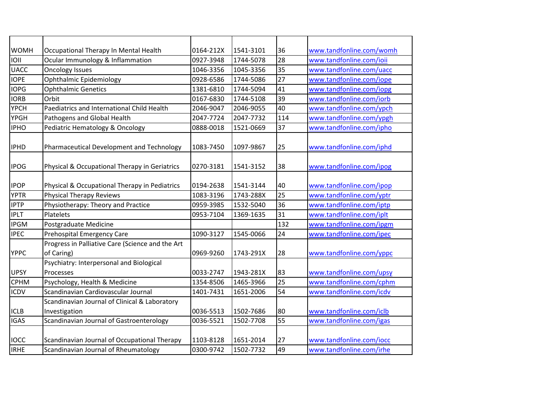| <b>WOMH</b> | Occupational Therapy In Mental Health                          | 0164-212X | 1541-3101 | 36  | www.tandfonline.com/womh |
|-------------|----------------------------------------------------------------|-----------|-----------|-----|--------------------------|
| IOII        | Ocular Immunology & Inflammation                               | 0927-3948 | 1744-5078 | 28  | www.tandfonline.com/ioii |
| <b>UACC</b> | <b>Oncology Issues</b>                                         | 1046-3356 | 1045-3356 | 35  | www.tandfonline.com/uacc |
| <b>IOPE</b> | Ophthalmic Epidemiology                                        | 0928-6586 | 1744-5086 | 27  | www.tandfonline.com/iope |
| <b>IOPG</b> | <b>Ophthalmic Genetics</b>                                     | 1381-6810 | 1744-5094 | 41  | www.tandfonline.com/iopg |
| <b>IORB</b> | Orbit                                                          | 0167-6830 | 1744-5108 | 39  | www.tandfonline.com/iorb |
| <b>YPCH</b> | Paediatrics and International Child Health                     | 2046-9047 | 2046-9055 | 40  | www.tandfonline.com/ypch |
| <b>YPGH</b> | Pathogens and Global Health                                    | 2047-7724 | 2047-7732 | 114 | www.tandfonline.com/ypgh |
| <b>IPHO</b> | Pediatric Hematology & Oncology                                | 0888-0018 | 1521-0669 | 37  | www.tandfonline.com/ipho |
| <b>IPHD</b> | Pharmaceutical Development and Technology                      | 1083-7450 | 1097-9867 | 25  | www.tandfonline.com/iphd |
| <b>IPOG</b> | Physical & Occupational Therapy in Geriatrics                  | 0270-3181 | 1541-3152 | 38  | www.tandfonline.com/ipog |
| <b>IPOP</b> | Physical & Occupational Therapy in Pediatrics                  | 0194-2638 | 1541-3144 | 40  | www.tandfonline.com/ipop |
| <b>YPTR</b> | <b>Physical Therapy Reviews</b>                                | 1083-3196 | 1743-288X | 25  | www.tandfonline.com/yptr |
| <b>IPTP</b> | Physiotherapy: Theory and Practice                             | 0959-3985 | 1532-5040 | 36  | www.tandfonline.com/iptp |
| <b>IPLT</b> | Platelets                                                      | 0953-7104 | 1369-1635 | 31  | www.tandfonline.com/iplt |
| <b>IPGM</b> | Postgraduate Medicine                                          |           |           | 132 | www.tandfonline.com/ipgm |
| <b>IPEC</b> | <b>Prehospital Emergency Care</b>                              | 1090-3127 | 1545-0066 | 24  | www.tandfonline.com/ipec |
| <b>YPPC</b> | Progress in Palliative Care (Science and the Art<br>of Caring) | 0969-9260 | 1743-291X | 28  | www.tandfonline.com/yppc |
| <b>UPSY</b> | Psychiatry: Interpersonal and Biological<br>Processes          | 0033-2747 | 1943-281X | 83  | www.tandfonline.com/upsy |
| <b>CPHM</b> | Psychology, Health & Medicine                                  | 1354-8506 | 1465-3966 | 25  | www.tandfonline.com/cphm |
| <b>ICDV</b> | Scandinavian Cardiovascular Journal                            | 1401-7431 | 1651-2006 | 54  | www.tandfonline.com/icdv |
|             | Scandinavian Journal of Clinical & Laboratory                  |           |           |     |                          |
| <b>ICLB</b> | Investigation                                                  | 0036-5513 | 1502-7686 | 80  | www.tandfonline.com/iclb |
| <b>IGAS</b> | Scandinavian Journal of Gastroenterology                       | 0036-5521 | 1502-7708 | 55  | www.tandfonline.com/igas |
| <b>IOCC</b> | Scandinavian Journal of Occupational Therapy                   | 1103-8128 | 1651-2014 | 27  | www.tandfonline.com/iocc |
| <b>IRHE</b> | Scandinavian Journal of Rheumatology                           | 0300-9742 | 1502-7732 | 49  | www.tandfonline.com/irhe |